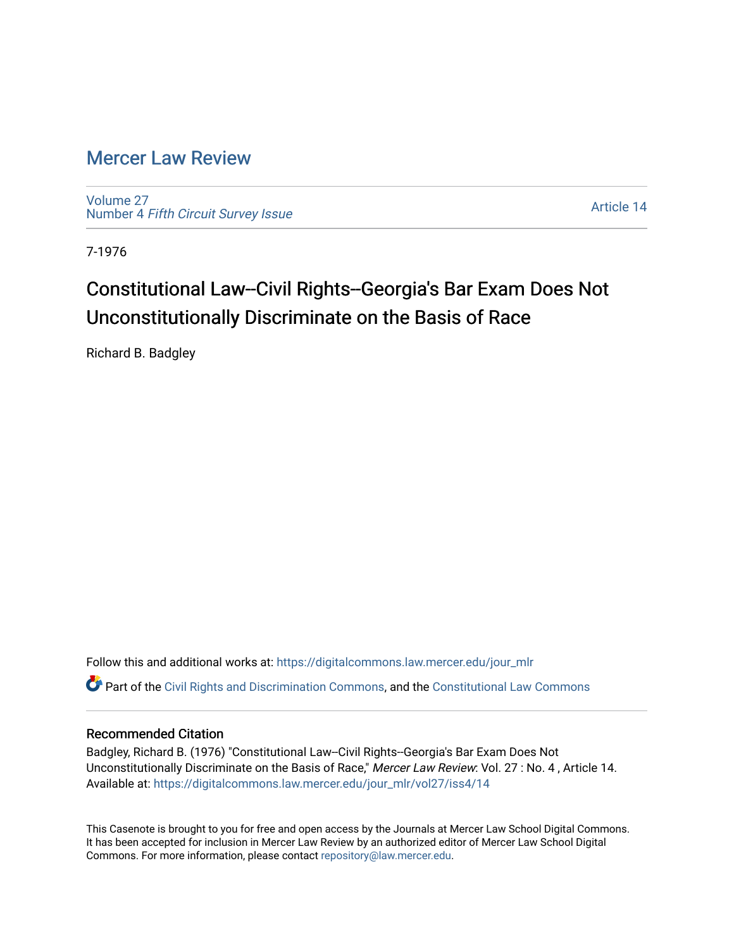## [Mercer Law Review](https://digitalcommons.law.mercer.edu/jour_mlr)

[Volume 27](https://digitalcommons.law.mercer.edu/jour_mlr/vol27) Number 4 [Fifth Circuit Survey Issue](https://digitalcommons.law.mercer.edu/jour_mlr/vol27/iss4) 

[Article 14](https://digitalcommons.law.mercer.edu/jour_mlr/vol27/iss4/14) 

7-1976

## Constitutional Law--Civil Rights--Georgia's Bar Exam Does Not Unconstitutionally Discriminate on the Basis of Race

Richard B. Badgley

Follow this and additional works at: [https://digitalcommons.law.mercer.edu/jour\\_mlr](https://digitalcommons.law.mercer.edu/jour_mlr?utm_source=digitalcommons.law.mercer.edu%2Fjour_mlr%2Fvol27%2Fiss4%2F14&utm_medium=PDF&utm_campaign=PDFCoverPages) Part of the [Civil Rights and Discrimination Commons,](http://network.bepress.com/hgg/discipline/585?utm_source=digitalcommons.law.mercer.edu%2Fjour_mlr%2Fvol27%2Fiss4%2F14&utm_medium=PDF&utm_campaign=PDFCoverPages) and the [Constitutional Law Commons](http://network.bepress.com/hgg/discipline/589?utm_source=digitalcommons.law.mercer.edu%2Fjour_mlr%2Fvol27%2Fiss4%2F14&utm_medium=PDF&utm_campaign=PDFCoverPages)

## Recommended Citation

Badgley, Richard B. (1976) "Constitutional Law--Civil Rights--Georgia's Bar Exam Does Not Unconstitutionally Discriminate on the Basis of Race," Mercer Law Review: Vol. 27 : No. 4, Article 14. Available at: [https://digitalcommons.law.mercer.edu/jour\\_mlr/vol27/iss4/14](https://digitalcommons.law.mercer.edu/jour_mlr/vol27/iss4/14?utm_source=digitalcommons.law.mercer.edu%2Fjour_mlr%2Fvol27%2Fiss4%2F14&utm_medium=PDF&utm_campaign=PDFCoverPages) 

This Casenote is brought to you for free and open access by the Journals at Mercer Law School Digital Commons. It has been accepted for inclusion in Mercer Law Review by an authorized editor of Mercer Law School Digital Commons. For more information, please contact [repository@law.mercer.edu.](mailto:repository@law.mercer.edu)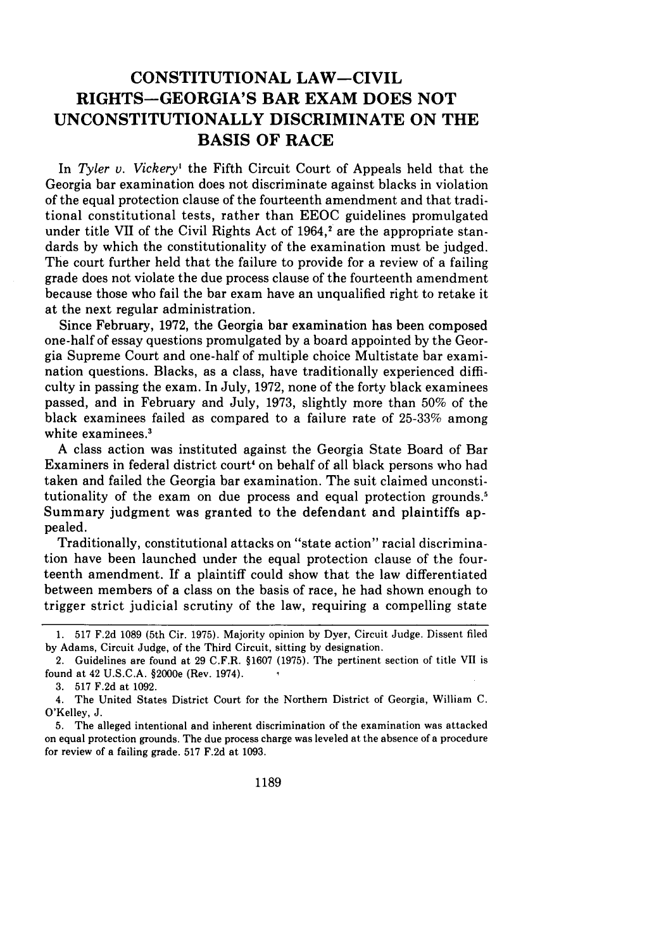## **CONSTITUTIONAL LAW-CIVIL RIGHTS-GEORGIA'S BAR EXAM DOES NOT UNCONSTITUTIONALLY DISCRIMINATE ON THE BASIS OF RACE**

In *Tyler v. Vickery'* the Fifth Circuit Court of Appeals held that the Georgia bar examination does not discriminate against blacks in violation of the equal protection clause of the fourteenth amendment and that traditional constitutional tests, rather than EEOC guidelines promulgated under title VII of the Civil Rights Act of  $1964$ ,<sup>2</sup> are the appropriate standards by which the constitutionality of the examination must be judged. The court further held that the failure to provide for a review of a failing grade does not violate the due process clause of the fourteenth amendment because those who fail the bar exam have an unqualified right to retake it at the next regular administration.

Since February, 1972, the Georgia bar examination has been composed one-half of essay questions promulgated by a board appointed by the Georgia Supreme Court and one-half of multiple choice Multistate bar examination questions. Blacks, as a class, have traditionally experienced difficulty in passing the exam. In July, 1972, none of the forty black examinees passed, and in February and July, 1973, slightly more than 50% of the black examinees failed as compared to a failure rate of 25-33% among white examinees.<sup>3</sup>

A class action was instituted against the Georgia State Board of Bar Examiners in federal district court' on behalf of all black persons who had taken and failed the Georgia bar examination. The suit claimed unconstitutionality of the exam on due process and equal protection grounds.<sup>5</sup> Summary judgment was granted to the defendant and plaintiffs appealed.

Traditionally, constitutional attacks on "state action" racial discrimination have been launched under the equal protection clause of the fourteenth amendment. If a plaintiff could show that the law differentiated between members of a class on the basis of race, he had shown enough to trigger strict judicial scrutiny of the law, requiring a compelling state

<sup>1. 517</sup> F.2d 1089 (5th Cir. 1975). Majority opinion by Dyer, Circuit Judge. Dissent filed by Adams, Circuit Judge, of the Third Circuit, sitting by designation.

<sup>2.</sup> Guidelines are found at 29 C.F.R. §1607 (1975). The pertinent section of title VII is found at 42 **U.S.C.A.** §2000e (Rev. 1974).

<sup>3. 517</sup> F.2d at 1092.

<sup>4.</sup> The United States District Court for the Northern District of Georgia, William C. O'Kelley, J.

<sup>5.</sup> The alleged intentional and inherent discrimination of the examination was attacked on equal protection grounds. The due process charge was leveled at the absence of a procedure for review of a failing grade. 517 F.2d at 1093.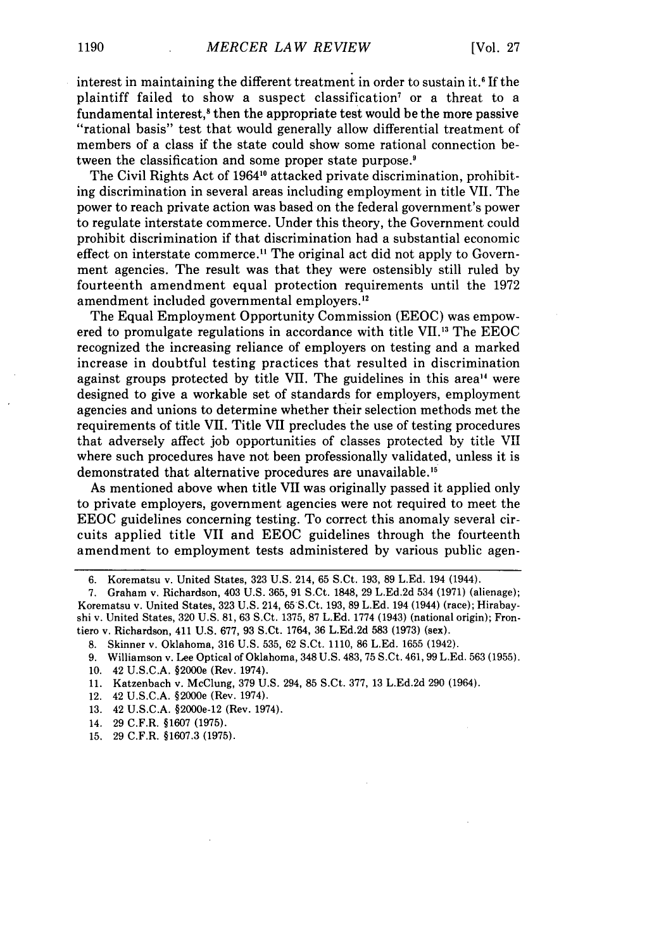interest in maintaining the different treatment in order to sustain it.<sup>6</sup> If the plaintiff failed to show a suspect classification' or a threat to a fundamental interest,<sup>8</sup> then the appropriate test would be the more passive "rational basis" test that would generally allow differential treatment of members of a class if the state could show some rational connection between the classification and some proper state purpose.'

The Civil Rights Act of 19641" attacked private discrimination, prohibiting discrimination in several areas including employment in title VII. The power to reach private action was based on the federal government's power to regulate interstate commerce. Under this theory, the Government could prohibit discrimination if that discrimination had a substantial economic effect on interstate commerce.<sup>11</sup> The original act did not apply to Government agencies. The result was that they were ostensibly still ruled by fourteenth amendment equal protection requirements until the 1972 amendment included governmental employers."

The Equal Employment Opportunity Commission (EEOC) was empowered to promulgate regulations in accordance with title VH. 13 The EEOC recognized the increasing reliance of employers on testing and a marked increase in doubtful testing practices that resulted in discrimination against groups protected by title VII. The guidelines in this area<sup>14</sup> were designed to give a workable set of standards for employers, employment agencies and unions to determine whether their selection methods met the requirements of title VII. Title VII precludes the use of testing procedures that adversely affect job opportunities of classes protected by title VII where such procedures have not been professionally validated, unless it is demonstrated that alternative procedures are unavailable."

As mentioned above when title VII was originally passed it applied only to private employers, government agencies were not required to meet the EEOC guidelines concerning testing. To correct this anomaly several circuits applied title VII and EEOC guidelines through the fourteenth amendment to employment tests administered by various public agen-

10. 42 U.S.C.A. §2000e (Rev. 1974).

15. 29 C.F.R. §1607.3 (1975).

<sup>6.</sup> Korematsu v. United States, 323 U.S. 214, 65 S.Ct. 193, 89 L.Ed. 194 (1944).

<sup>7.</sup> Graham v. Richardson, 403 U.S. 365, 91 S.Ct. 1848, 29 L.Ed.2d 534 (1971) (alienage); Korematsu v. United States, 323 U.S. 214, 65 S.Ct. 193, 89 L.Ed. 194 (1944) (race); Hirabayshi v. United States, 320 U.S. 81, 63 S.Ct. 1375, 87 L.Ed. 1774 (1943) (national origin); Frontiero v. Richardson, 411 U.S. 677, 93 S.Ct. 1764, 36 L.Ed.2d 583 (1973) (sex).

<sup>8.</sup> Skinner v. Oklahoma, 316 U.S. 535, 62 S.Ct. 1110, 86 L.Ed. 1655 (1942).

<sup>9.</sup> Williamson v. Lee Optical of Oklahoma, 348 U.S. 483, 75 S.Ct. 461,99 L.Ed. 563 (1955).

<sup>11.</sup> Katzenbach v. McClung, 379 U.S. 294, 85 S.Ct. 377, 13 L.Ed.2d 290 (1964).

<sup>12. 42</sup> U.S.C.A. §2000e (Rev. 1974).

<sup>13. 42</sup> U.S.C.A. §2000e-12 (Rev. 1974).

<sup>14. 29</sup> C.F.R. §1607 (1975).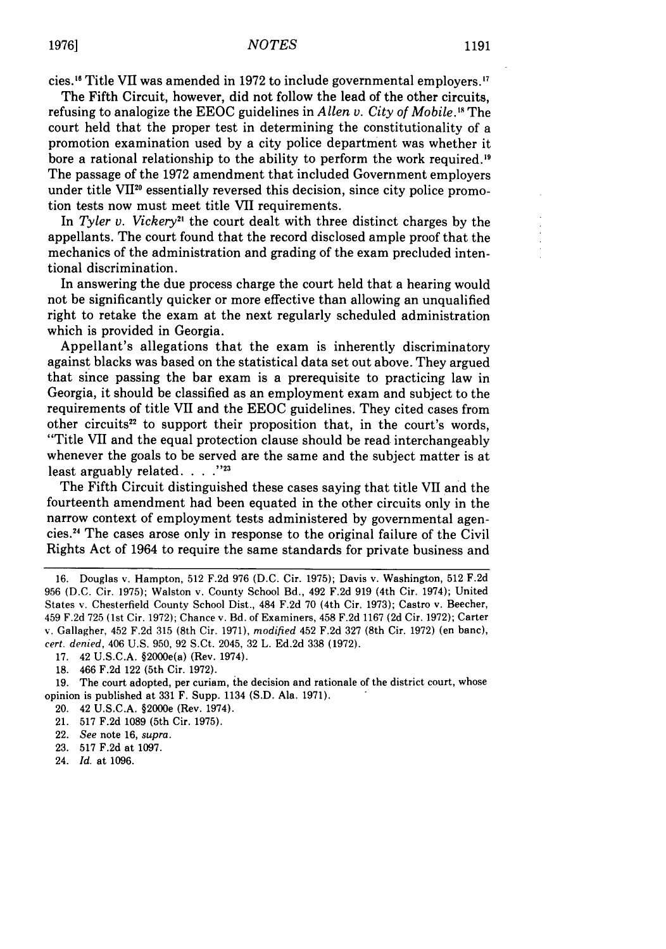cies. 6 Title VII was amended in 1972 to include governmental employers. <sup>7</sup>

The Fifth Circuit, however, did not follow the lead of the other circuits, refusing to analogize the EEOC guidelines in *Allen v. City of Mobile."* The court held that the proper test in determining the constitutionality of a promotion examination used by a city police department was whether it bore a rational relationship to the ability to perform the work required. <sup>9</sup> The passage of the 1972 amendment that included Government employers under title VII2° essentially reversed this decision, since city police promotion tests now must meet title VII requirements.

In *Tyler v. Vickery*<sup>21</sup> the court dealt with three distinct charges by the appellants. The court found that the record disclosed ample proof that the mechanics of the administration and grading of the exam precluded intentional discrimination.

In answering the due process charge the court held that a hearing would not be significantly quicker or more effective than allowing an unqualified right to retake the exam at the next regularly scheduled administration which is provided in Georgia.

Appellant's allegations that the exam is inherently discriminatory against blacks was based on the statistical data set out above. They argued that since passing the bar exam is a prerequisite to practicing law in Georgia, it should be classified as an employment exam and subject to the requirements of title VII and the EEOC guidelines. They cited cases from other circuits<sup>22</sup> to support their proposition that, in the court's words, "Title VII and the equal protection clause should be read interchangeably whenever the goals to be served are the same and the subject matter is at least arguably related. . . .<sup>723</sup>

The Fifth Circuit distinguished these cases saying that title VII and the fourteenth amendment had been equated in the other circuits only in the narrow context of employment tests administered by governmental agencies.24 The cases arose only in response to the original failure of the Civil Rights Act of 1964 to require the same standards for private business and

24. *Id.* at 1096.

<sup>16.</sup> Douglas v. Hampton, 512 F.2d 976 (D.C. Cir. 1975); Davis v. Washington, 512 F.2d 956 (D.C. Cir. 1975); Walston v. County School Bd., 492 F.2d 919 (4th Cir. 1974); United States v. Chesterfield County School Dist., 484 F.2d 70 (4th Cir. 1973); Castro v. Beecher, 459 F.2d 725 (1st Cir. 1972); Chance v. Bd. of Examiners, 458 F.2d 1167 (2d Cir. 1972); Carter v. Gallagher, 452 F.2d 315 (8th Cir. 1971), *modified* 452 F.2d 327 (8th Cir. 1972) (en banc), cert. denied, 406 U.S. 950, 92 S.Ct. 2045, 32 L. Ed.2d 338 **(1972).**

<sup>17. 42</sup> U.S.C.A. §2000e(a) (Rev. 1974).

<sup>18. 466</sup> F.2d 122 (5th Cir. 1972).

<sup>19.</sup> The court adopted, per curiam, the decision and rationale of the district court, whose opinion is published at 331 F. Supp. 1134 (S.D. Ala. 1971).

<sup>20. 42</sup> U.S.C.A. §2000e (Rev. 1974).

<sup>21. 517</sup> F.2d 1089 (5th Cir. 1975).

<sup>22.</sup> *See* note 16, *supra.*

<sup>23. 517</sup> F.2d at 1097.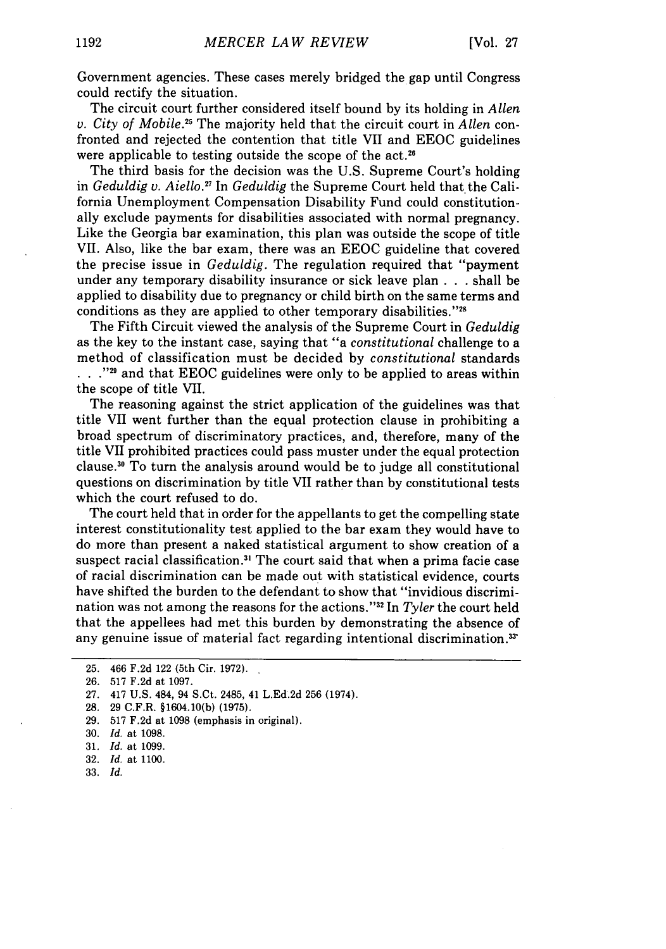Government agencies. These cases merely bridged the gap until Congress could rectify the situation.

The circuit court further considered itself bound by its holding in *Allen v. City of Mobile. <sup>5</sup>*The majority held that the circuit court in *Allen* confronted and rejected the contention that title VII and EEOC guidelines were applicable to testing outside the scope of the act.<sup>26</sup>

The third basis for the decision was the U.S. Supreme Court's holding in *Geduldig v. Aiello."* In *Geduldig* the Supreme Court held that the California Unemployment Compensation Disability Fund could constitutionally exclude payments for disabilities associated with normal pregnancy. Like the Georgia bar examination, this plan was outside the scope of title VII. Also, like the bar exam, there was an EEOC guideline that covered the precise issue in *Geduldig.* The regulation required that "payment under any temporary disability insurance or sick leave plan . . . shall be applied to disability due to pregnancy or child birth on the same terms and conditions as they are applied to other temporary disabilities."28

The Fifth Circuit viewed the analysis of the Supreme Court in *Geduldig* as the key to the instant case, saying that "a *constitutional* challenge to a method of classification must be decided by *constitutional* standards ..."<sup>29</sup> and that EEOC guidelines were only to be applied to areas within the scope of title VII.

The reasoning against the strict application of the guidelines was that title VII went further than the equal protection clause in prohibiting a broad spectrum of discriminatory practices, and, therefore, many of the title VII prohibited practices could pass muster under the equal protection clause.30 To turn the analysis around would be to judge all constitutional questions on discrimination by title VII rather than by constitutional tests which the court refused to do.

The court held that in order for the appellants to get the compelling state interest constitutionality test applied to the bar exam they would have to do more than present a naked statistical argument to show creation of a suspect racial classification.<sup>31</sup> The court said that when a prima facie case of racial discrimination can be made out with statistical evidence, courts have shifted the burden to the defendant to show that "invidious discrimination was not among the reasons for the actions."<sup>32</sup> In *Tyler* the court held that the appellees had met this burden by demonstrating the absence of any genuine issue of material fact regarding intentional discrimination.<sup>35</sup>

33. *Id.*

<sup>25. 466</sup> F.2d 122 (5th Cir. 1972).

<sup>26. 517</sup> F.2d at 1097.

<sup>27. 417</sup> U.S. 484, 94 S.Ct. 2485, 41 L.Ed.2d 256 (1974).

<sup>28. 29</sup> C.F.R. §1604.10(b) (1975).

<sup>29. 517</sup> F.2d at 1098 (emphasis in original).

<sup>30.</sup> *Id.* at 1098.

<sup>31.</sup> *Id.* at 1099.

<sup>32.</sup> *Id.* at 1100.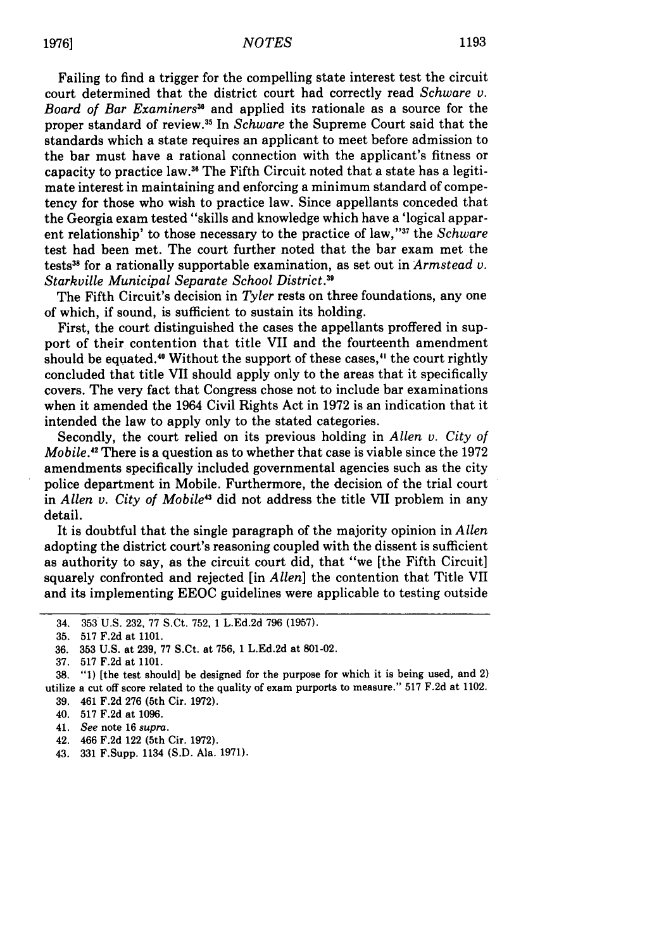Failing to find a trigger for the compelling state interest test the circuit court determined that the district court had correctly read *Schware v. Board of Bar Examiners"* and applied its rationale as a source for the proper standard of review.3 5 In *Schware* the Supreme Court said that the standards which a state requires an applicant to meet before admission to the bar must have a rational connection with the applicant's fitness or capacity to practice law.<sup>36</sup> The Fifth Circuit noted that a state has a legitimate interest in maintaining and enforcing a minimum standard of competency for those who wish to practice law. Since appellants conceded that the Georgia exam tested "skills and knowledge which have a 'logical apparent relationship' to those necessary to the practice of law,"<sup>37</sup> the *Schware* test had been met. The court further noted that the bar exam met the tests38 for a rationally supportable examination, as set out in *Armstead v. Starkville Municipal Separate School District.3 <sup>9</sup>*

The Fifth Circuit's decision in *Tyler* rests on three foundations, any one of which, if sound, is sufficient to sustain its holding.

First, the court distinguished the cases the appellants proffered in support of their contention that title VII and the fourteenth amendment should be equated.<sup>40</sup> Without the support of these cases,<sup>41</sup> the court rightly concluded that title VII should apply only to the areas that it specifically covers. The very fact that Congress chose not to include bar examinations when it amended the 1964 Civil Rights Act in 1972 is an indication that it intended the law to apply only to the stated categories.

Secondly, the court relied on its previous holding in *Allen v. City of Mobile.12* There is a question as to whether that case is viable since the 1972 amendments specifically included governmental agencies such as the city police department in Mobile. Furthermore, the decision of the trial court in *Allen v. City of Mobile<sup>43</sup>* did not address the title VII problem in any detail.

It is doubtful that the single paragraph of the majority opinion in *Allen* adopting the district court's reasoning coupled with the dissent is sufficient as authority to say, as the circuit court did, that "we [the Fifth Circuit] squarely confronted and rejected [in *Allen]* the contention that Title VII and its implementing EEOC guidelines were applicable to testing outside

<sup>34. 353</sup> U.S. 232, 77 S.Ct. 752, 1 L.Ed.2d 796 (1957).

<sup>35. 517</sup> F.2d at 1101.

**<sup>36. 353</sup>** U.S. at **239, 77** S.Ct. at **756,** 1 **L.Ed.2d** at **801-02.**

**<sup>37. 517</sup> F.2d** at **1101.**

**<sup>38. &</sup>quot;1)** [the test should] be designed for the purpose for which it is being used, and 2) utilize a cut off score related to the quality of exam purports to measure." **517 F.2d** at 1102. **39.** 461 **F.2d 276** (5th Cir. **1972).**

<sup>40.</sup> **517 F.2d** at **1096.**

<sup>41.</sup> See note **16** supra.

<sup>42. 466</sup> **F.2d** 122 (5th Cir. **1972).**

<sup>43.</sup> **331** F.Supp. 1134 **(S.D.** Ala. **1971).**